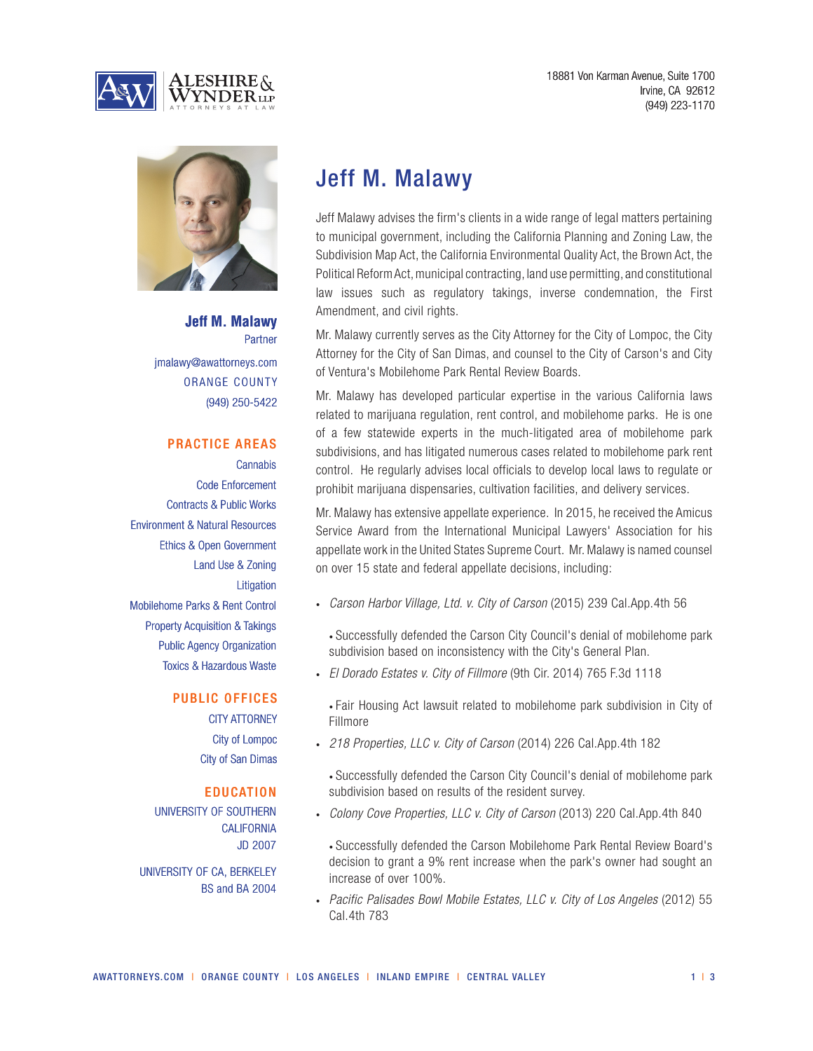



**Jeff M. Malawy** Partner jmalawy@awattorneys.com ORANGE COUNTY (949) 250-5422

## PRACTICE AREAS

**Cannabis** Code Enforcement Contracts & Public Works Environment & Natural Resources Ethics & Open Government Land Use & Zoning **Litigation** Mobilehome Parks & Rent Control Property Acquisition & Takings Public Agency Organization Toxics & Hazardous Waste

#### PUBLIC OFFICES

CITY ATTORNEY City of Lompoc City of San Dimas

#### **EDUCATION**

UNIVERSITY OF SOUTHERN **CALIFORNIA** JD 2007

UNIVERSITY OF CA, BERKELEY BS and BA 2004

Jeff M. Malawy

Jeff Malawy advises the firm's clients in a wide range of legal matters pertaining to municipal government, including the California Planning and Zoning Law, the Subdivision Map Act, the California Environmental Quality Act, the Brown Act, the Political Reform Act, municipal contracting, land use permitting, and constitutional law issues such as regulatory takings, inverse condemnation, the First Amendment, and civil rights.

Mr. Malawy currently serves as the City Attorney for the City of Lompoc, the City Attorney for the City of San Dimas, and counsel to the City of Carson's and City of Ventura's Mobilehome Park Rental Review Boards.

Mr. Malawy has developed particular expertise in the various California laws related to marijuana regulation, rent control, and mobilehome parks. He is one of a few statewide experts in the much-litigated area of mobilehome park subdivisions, and has litigated numerous cases related to mobilehome park rent control. He regularly advises local officials to develop local laws to regulate or prohibit marijuana dispensaries, cultivation facilities, and delivery services.

Mr. Malawy has extensive appellate experience. In 2015, he received the Amicus Service Award from the International Municipal Lawyers' Association for his appellate work in the United States Supreme Court. Mr. Malawy is named counsel on over 15 state and federal appellate decisions, including:

• *Carson Harbor Village, Ltd. v. City of Carson* (2015) 239 Cal.App.4th 56

• Successfully defended the Carson City Council's denial of mobilehome park subdivision based on inconsistency with the City's General Plan.

• *El Dorado Estates v. City of Fillmore* (9th Cir. 2014) 765 F.3d 1118

• Fair Housing Act lawsuit related to mobilehome park subdivision in City of Fillmore

• *218 Properties, LLC v. City of Carson* (2014) 226 Cal.App.4th 182

• Successfully defended the Carson City Council's denial of mobilehome park subdivision based on results of the resident survey.

• *Colony Cove Properties, LLC v. City of Carson* (2013) 220 Cal.App.4th 840

• Successfully defended the Carson Mobilehome Park Rental Review Board's decision to grant a 9% rent increase when the park's owner had sought an increase of over 100%.

• *Pacific Palisades Bowl Mobile Estates, LLC v. City of Los Angeles* (2012) 55 Cal.4th 783

 $1 \mid 3$ 

18881 Von Karman Avenue, Suite 1700 Irvine, CA 92612 (949) 223-1170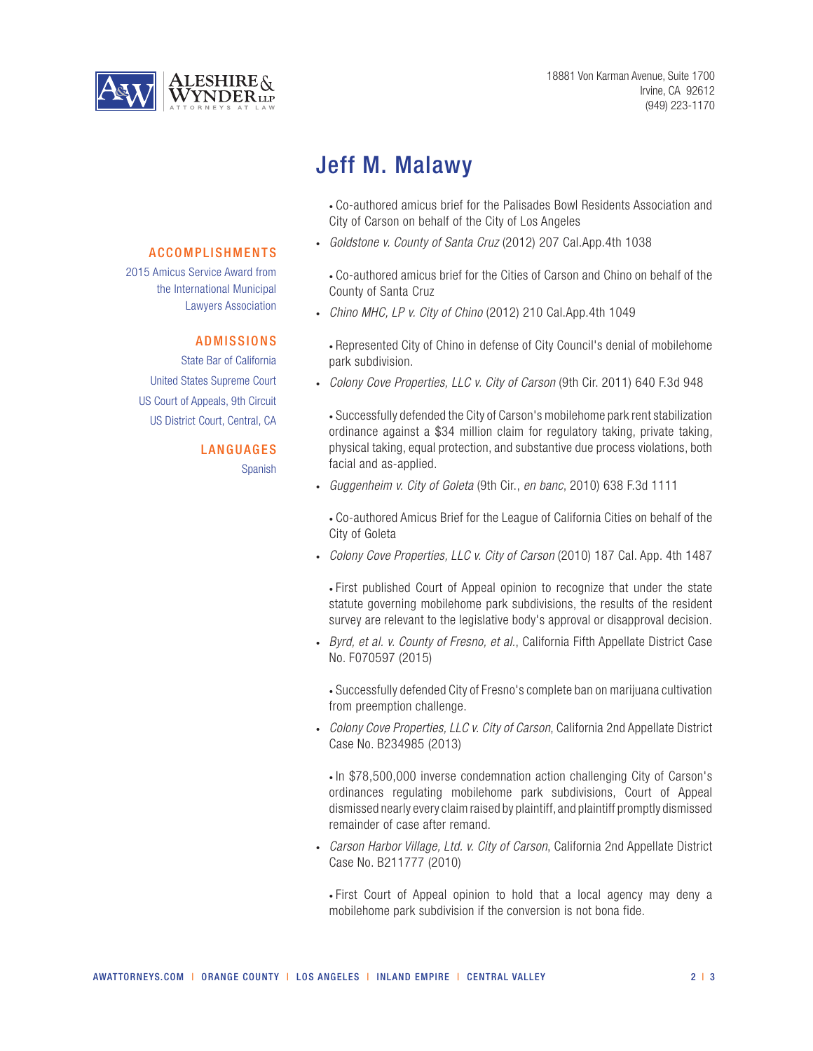

# Jeff M. Malawy

• Co-authored amicus brief for the Palisades Bowl Residents Association and City of Carson on behalf of the City of Los Angeles

• *Goldstone v. County of Santa Cruz* (2012) 207 Cal.App.4th 1038

• Co-authored amicus brief for the Cities of Carson and Chino on behalf of the County of Santa Cruz

• *Chino MHC, LP v. City of Chino* (2012) 210 Cal.App.4th 1049

• Represented City of Chino in defense of City Council's denial of mobilehome park subdivision.

• *Colony Cove Properties, LLC v. City of Carson* (9th Cir. 2011) 640 F.3d 948

• Successfully defended the City of Carson's mobilehome park rent stabilization ordinance against a \$34 million claim for regulatory taking, private taking, physical taking, equal protection, and substantive due process violations, both facial and as-applied.

• *Guggenheim v. City of Goleta* (9th Cir., *en banc*, 2010) 638 F.3d 1111

• Co-authored Amicus Brief for the League of California Cities on behalf of the City of Goleta

• *Colony Cove Properties, LLC v. City of Carson* (2010) 187 Cal. App. 4th 1487

• First published Court of Appeal opinion to recognize that under the state statute governing mobilehome park subdivisions, the results of the resident survey are relevant to the legislative body's approval or disapproval decision.

• *Byrd, et al. v. County of Fresno, et al.*, California Fifth Appellate District Case No. F070597 (2015)

• Successfully defended City of Fresno's complete ban on marijuana cultivation from preemption challenge.

• *Colony Cove Properties, LLC v. City of Carson*, California 2nd Appellate District Case No. B234985 (2013)

• In \$78,500,000 inverse condemnation action challenging City of Carson's ordinances regulating mobilehome park subdivisions, Court of Appeal dismissed nearly every claim raised by plaintiff, and plaintiff promptly dismissed remainder of case after remand.

• *Carson Harbor Village, Ltd. v. City of Carson*, California 2nd Appellate District Case No. B211777 (2010)

• First Court of Appeal opinion to hold that a local agency may deny a mobilehome park subdivision if the conversion is not bona fide.

### ACCOMPLISHMENTS

2015 Amicus Service Award from the International Municipal Lawyers Association

### ADMISSIONS

State Bar of California United States Supreme Court US Court of Appeals, 9th Circuit US District Court, Central, CA

#### **LANGUAGES**

Spanish